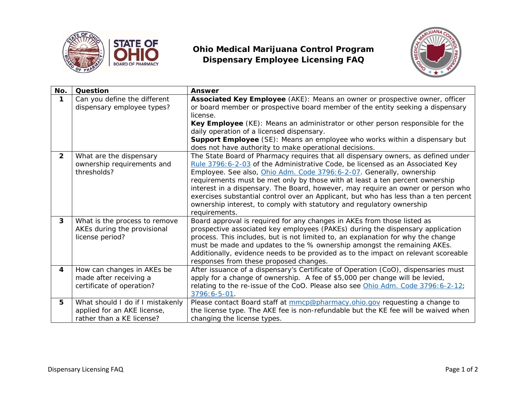

## **Ohio Medical Marijuana Control Program Dispensary Employee Licensing FAQ**



| No.                     | Question                         | <b>Answer</b>                                                                                                                                                 |
|-------------------------|----------------------------------|---------------------------------------------------------------------------------------------------------------------------------------------------------------|
| 1                       | Can you define the different     | Associated Key Employee (AKE): Means an owner or prospective owner, officer                                                                                   |
|                         | dispensary employee types?       | or board member or prospective board member of the entity seeking a dispensary                                                                                |
|                         |                                  | license.                                                                                                                                                      |
|                         |                                  | Key Employee (KE): Means an administrator or other person responsible for the                                                                                 |
|                         |                                  | daily operation of a licensed dispensary.                                                                                                                     |
|                         |                                  | <b>Support Employee</b> (SE): Means an employee who works within a dispensary but                                                                             |
|                         |                                  | does not have authority to make operational decisions.                                                                                                        |
| $\overline{2}$          | What are the dispensary          | The State Board of Pharmacy requires that all dispensary owners, as defined under                                                                             |
|                         | ownership requirements and       | Rule 3796:6-2-03 of the Administrative Code, be licensed as an Associated Key                                                                                 |
|                         | thresholds?                      | Employee. See also, Ohio Adm. Code 3796:6-2-07. Generally, ownership                                                                                          |
|                         |                                  | requirements must be met only by those with at least a ten percent ownership                                                                                  |
|                         |                                  | interest in a dispensary. The Board, however, may require an owner or person who                                                                              |
|                         |                                  | exercises substantial control over an Applicant, but who has less than a ten percent<br>ownership interest, to comply with statutory and regulatory ownership |
|                         |                                  | requirements.                                                                                                                                                 |
| $\overline{\mathbf{3}}$ | What is the process to remove    | Board approval is required for any changes in AKEs from those listed as                                                                                       |
|                         | AKEs during the provisional      | prospective associated key employees (PAKEs) during the dispensary application                                                                                |
|                         | license period?                  | process. This includes, but is not limited to, an explanation for why the change                                                                              |
|                         |                                  | must be made and updates to the % ownership amongst the remaining AKEs.                                                                                       |
|                         |                                  | Additionally, evidence needs to be provided as to the impact on relevant scoreable                                                                            |
|                         |                                  | responses from these proposed changes.                                                                                                                        |
| 4                       | How can changes in AKEs be       | After issuance of a dispensary's Certificate of Operation (CoO), dispensaries must                                                                            |
|                         | made after receiving a           | apply for a change of ownership. A fee of \$5,000 per change will be levied,                                                                                  |
|                         | certificate of operation?        | relating to the re-issue of the CoO. Please also see Ohio Adm. Code 3796:6-2-12;                                                                              |
|                         |                                  | 3796:6-5-01.                                                                                                                                                  |
| 5                       | What should I do if I mistakenly | Please contact Board staff at mmcp@pharmacy.ohio.gov requesting a change to                                                                                   |
|                         | applied for an AKE license,      | the license type. The AKE fee is non-refundable but the KE fee will be waived when                                                                            |
|                         | rather than a KE license?        | changing the license types.                                                                                                                                   |